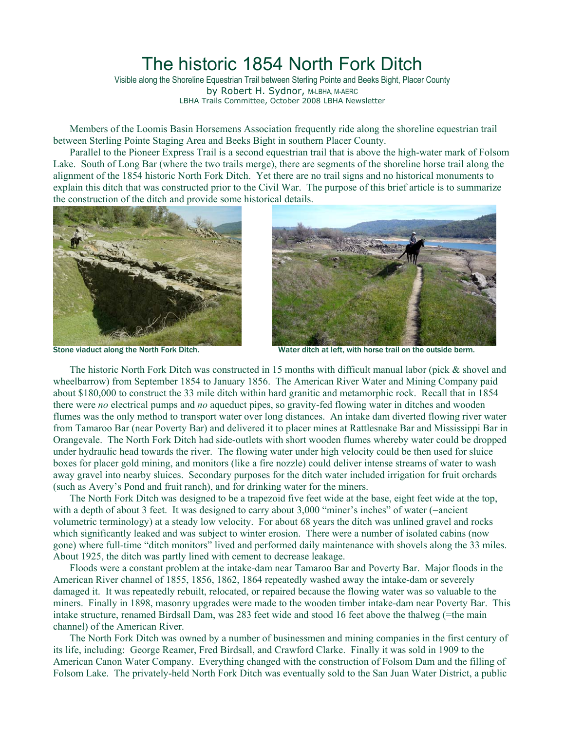## The historic 1854 North Fork Ditch

Visible along the Shoreline Equestrian Trail between Sterling Pointe and Beeks Bight, Placer County by Robert H. Sydnor, M-LBHA, M-AERC LBHA Trails Committee, October 2008 LBHA Newsletter

Members of the Loomis Basin Horsemens Association frequently ride along the shoreline equestrian trail between Sterling Pointe Staging Area and Beeks Bight in southern Placer County.

Parallel to the Pioneer Express Trail is a second equestrian trail that is above the high-water mark of Folsom Lake. South of Long Bar (where the two trails merge), there are segments of the shoreline horse trail along the alignment of the 1854 historic North Fork Ditch. Yet there are no trail signs and no historical monuments to explain this ditch that was constructed prior to the Civil War. The purpose of this brief article is to summarize the construction of the ditch and provide some historical details.





Stone viaduct along the North Fork Ditch. Water ditch at left, with horse trail on the outside berm.

The historic North Fork Ditch was constructed in 15 months with difficult manual labor (pick & shovel and wheelbarrow) from September 1854 to January 1856. The American River Water and Mining Company paid about \$180,000 to construct the 33 mile ditch within hard granitic and metamorphic rock. Recall that in 1854 there were *no* electrical pumps and *no* aqueduct pipes, so gravity-fed flowing water in ditches and wooden flumes was the only method to transport water over long distances. An intake dam diverted flowing river water from Tamaroo Bar (near Poverty Bar) and delivered it to placer mines at Rattlesnake Bar and Mississippi Bar in Orangevale. The North Fork Ditch had side-outlets with short wooden flumes whereby water could be dropped under hydraulic head towards the river. The flowing water under high velocity could be then used for sluice boxes for placer gold mining, and monitors (like a fire nozzle) could deliver intense streams of water to wash away gravel into nearby sluices. Secondary purposes for the ditch water included irrigation for fruit orchards (such as Avery's Pond and fruit ranch), and for drinking water for the miners.

The North Fork Ditch was designed to be a trapezoid five feet wide at the base, eight feet wide at the top, with a depth of about 3 feet. It was designed to carry about 3,000 "miner's inches" of water (=ancient volumetric terminology) at a steady low velocity. For about 68 years the ditch was unlined gravel and rocks which significantly leaked and was subject to winter erosion. There were a number of isolated cabins (now gone) where full-time "ditch monitors" lived and performed daily maintenance with shovels along the 33 miles. About 1925, the ditch was partly lined with cement to decrease leakage.

Floods were a constant problem at the intake-dam near Tamaroo Bar and Poverty Bar. Major floods in the American River channel of 1855, 1856, 1862, 1864 repeatedly washed away the intake-dam or severely damaged it. It was repeatedly rebuilt, relocated, or repaired because the flowing water was so valuable to the miners. Finally in 1898, masonry upgrades were made to the wooden timber intake-dam near Poverty Bar. This intake structure, renamed Birdsall Dam, was 283 feet wide and stood 16 feet above the thalweg (=the main channel) of the American River.

The North Fork Ditch was owned by a number of businessmen and mining companies in the first century of its life, including: George Reamer, Fred Birdsall, and Crawford Clarke. Finally it was sold in 1909 to the American Canon Water Company. Everything changed with the construction of Folsom Dam and the filling of Folsom Lake. The privately-held North Fork Ditch was eventually sold to the San Juan Water District, a public